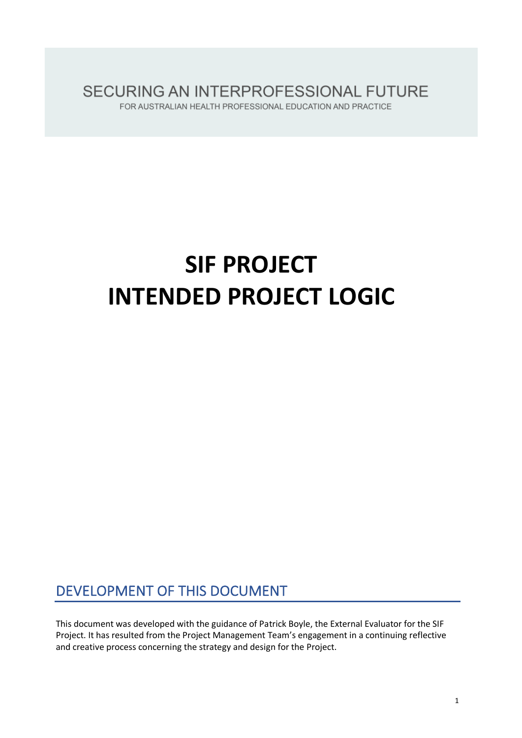SECURING AN INTERPROFESSIONAL FUTURE FOR AUSTRALIAN HEALTH PROFESSIONAL EDUCATION AND PRACTICE

# **SIF PROJECT INTENDED PROJECT LOGIC**

# DEVELOPMENT OF THIS DOCUMENT

This document was developed with the guidance of Patrick Boyle, the External Evaluator for the SIF Project. It has resulted from the Project Management Team's engagement in a continuing reflective and creative process concerning the strategy and design for the Project.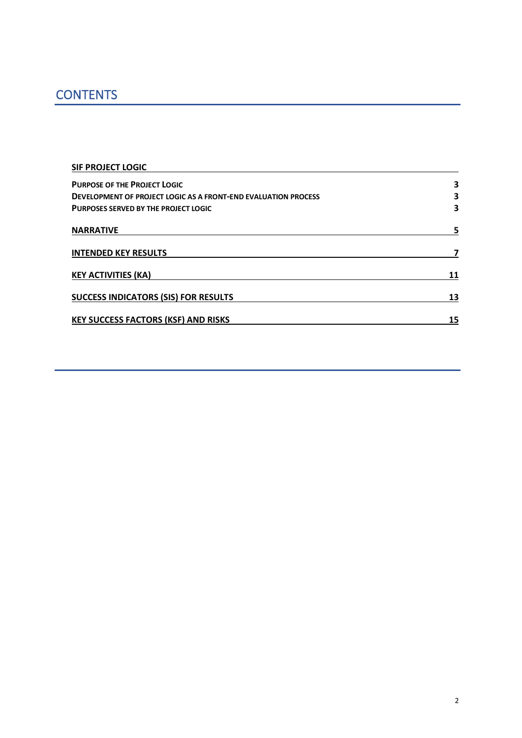# **CONTENTS**

| <b>SIF PROJECT LOGIC</b>                                              |    |
|-----------------------------------------------------------------------|----|
| <b>PURPOSE OF THE PROJECT LOGIC</b>                                   | 3  |
| <b>DEVELOPMENT OF PROJECT LOGIC AS A FRONT-END EVALUATION PROCESS</b> | 3  |
| <b>PURPOSES SERVED BY THE PROJECT LOGIC</b>                           | 3  |
| <b>NARRATIVE</b>                                                      |    |
| <b>INTENDED KEY RESULTS</b>                                           |    |
| <b>KEY ACTIVITIES (KA)</b>                                            | 11 |
| <b>SUCCESS INDICATORS (SIS) FOR RESULTS</b>                           | 13 |
| <b>KEY SUCCESS FACTORS (KSF) AND RISKS</b>                            | 15 |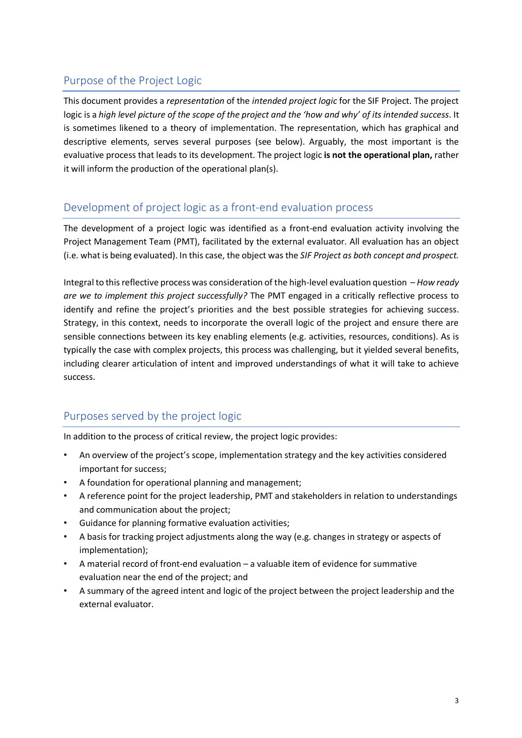# Purpose of the Project Logic

This document provides a *representation* of the *intended project logic* for the SIF Project. The project logic is a *high level picture of the scope of the project and the 'how and why' of its intended success*. It is sometimes likened to a theory of implementation. The representation, which has graphical and descriptive elements, serves several purposes (see below). Arguably, the most important is the evaluative process that leads to its development. The project logic **is not the operational plan,** rather it will inform the production of the operational plan(s).

# Development of project logic as a front-end evaluation process

The development of a project logic was identified as a front-end evaluation activity involving the Project Management Team (PMT), facilitated by the external evaluator. All evaluation has an object (i.e. what is being evaluated). In this case, the object was the *SIF Project as both concept and prospect.*

Integral to this reflective process was consideration of the high-level evaluation question – *How ready are we to implement this project successfully?* The PMT engaged in a critically reflective process to identify and refine the project's priorities and the best possible strategies for achieving success. Strategy, in this context, needs to incorporate the overall logic of the project and ensure there are sensible connections between its key enabling elements (e.g. activities, resources, conditions). As is typically the case with complex projects, this process was challenging, but it yielded several benefits, including clearer articulation of intent and improved understandings of what it will take to achieve success.

# Purposes served by the project logic

In addition to the process of critical review, the project logic provides:

- An overview of the project's scope, implementation strategy and the key activities considered important for success;
- A foundation for operational planning and management;
- A reference point for the project leadership, PMT and stakeholders in relation to understandings and communication about the project;
- Guidance for planning formative evaluation activities;
- A basis for tracking project adjustments along the way (e.g. changes in strategy or aspects of implementation);
- A material record of front-end evaluation a valuable item of evidence for summative evaluation near the end of the project; and
- A summary of the agreed intent and logic of the project between the project leadership and the external evaluator.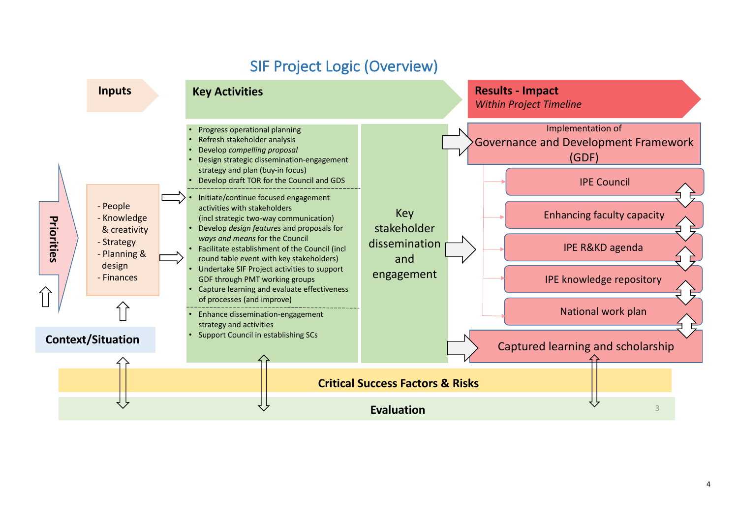# SIF Project Logic (Overview)

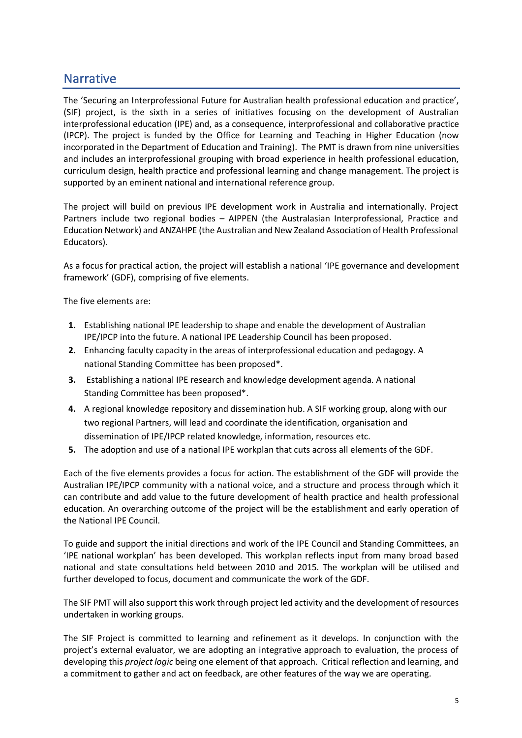# **Narrative**

The 'Securing an Interprofessional Future for Australian health professional education and practice', (SIF) project, is the sixth in a series of initiatives focusing on the development of Australian interprofessional education (IPE) and, as a consequence, interprofessional and collaborative practice (IPCP). The project is funded by the Office for Learning and Teaching in Higher Education (now incorporated in the Department of Education and Training). The PMT is drawn from nine universities and includes an interprofessional grouping with broad experience in health professional education, curriculum design, health practice and professional learning and change management. The project is supported by an eminent national and international reference group.

The project will build on previous IPE development work in Australia and internationally. Project Partners include two regional bodies – AIPPEN (the Australasian Interprofessional, Practice and Education Network) and ANZAHPE (the Australian and New Zealand Association of Health Professional Educators).

As a focus for practical action, the project will establish a national 'IPE governance and development framework' (GDF), comprising of five elements.

The five elements are:

- **1.** Establishing national IPE leadership to shape and enable the development of Australian IPE/IPCP into the future. A national IPE Leadership Council has been proposed.
- **2.** Enhancing faculty capacity in the areas of interprofessional education and pedagogy. A national Standing Committee has been proposed\*.
- **3.** Establishing a national IPE research and knowledge development agenda. A national Standing Committee has been proposed\*.
- **4.** A regional knowledge repository and dissemination hub. A SIF working group, along with our two regional Partners, will lead and coordinate the identification, organisation and dissemination of IPE/IPCP related knowledge, information, resources etc.
- **5.** The adoption and use of a national IPE workplan that cuts across all elements of the GDF.

Each of the five elements provides a focus for action. The establishment of the GDF will provide the Australian IPE/IPCP community with a national voice, and a structure and process through which it can contribute and add value to the future development of health practice and health professional education. An overarching outcome of the project will be the establishment and early operation of the National IPE Council.

To guide and support the initial directions and work of the IPE Council and Standing Committees, an 'IPE national workplan' has been developed. This workplan reflects input from many broad based national and state consultations held between 2010 and 2015. The workplan will be utilised and further developed to focus, document and communicate the work of the GDF.

The SIF PMT will also support this work through project led activity and the development of resources undertaken in working groups.

The SIF Project is committed to learning and refinement as it develops. In conjunction with the project's external evaluator, we are adopting an integrative approach to evaluation, the process of developing this *project logic* being one element of that approach. Critical reflection and learning, and a commitment to gather and act on feedback, are other features of the way we are operating.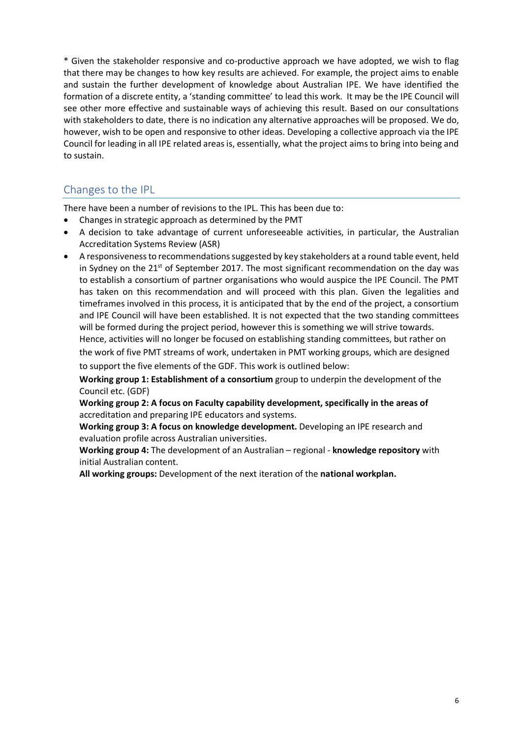\* Given the stakeholder responsive and co-productive approach we have adopted, we wish to flag that there may be changes to how key results are achieved. For example, the project aims to enable and sustain the further development of knowledge about Australian IPE. We have identified the formation of a discrete entity, a 'standing committee' to lead this work. It may be the IPE Council will see other more effective and sustainable ways of achieving this result. Based on our consultations with stakeholders to date, there is no indication any alternative approaches will be proposed. We do, however, wish to be open and responsive to other ideas. Developing a collective approach via the IPE Council for leading in all IPE related areas is, essentially, what the project aims to bring into being and to sustain.

# Changes to the IPL

There have been a number of revisions to the IPL. This has been due to:

- Changes in strategic approach as determined by the PMT
- A decision to take advantage of current unforeseeable activities, in particular, the Australian Accreditation Systems Review (ASR)
- A responsiveness to recommendations suggested by key stakeholders at a round table event, held in Sydney on the  $21^{st}$  of September 2017. The most significant recommendation on the day was to establish a consortium of partner organisations who would auspice the IPE Council. The PMT has taken on this recommendation and will proceed with this plan. Given the legalities and timeframes involved in this process, it is anticipated that by the end of the project, a consortium and IPE Council will have been established. It is not expected that the two standing committees will be formed during the project period, however this is something we will strive towards. Hence, activities will no longer be focused on establishing standing committees, but rather on the work of five PMT streams of work, undertaken in PMT working groups, which are designed

to support the five elements of the GDF. This work is outlined below:

**Working group 1: Establishment of a consortium** group to underpin the development of the Council etc. (GDF)

**Working group 2: A focus on Faculty capability development, specifically in the areas of**  accreditation and preparing IPE educators and systems.

**Working group 3: A focus on knowledge development.** Developing an IPE research and evaluation profile across Australian universities.

**Working group 4:** The development of an Australian – regional - **knowledge repository** with initial Australian content.

**All working groups:** Development of the next iteration of the **national workplan.**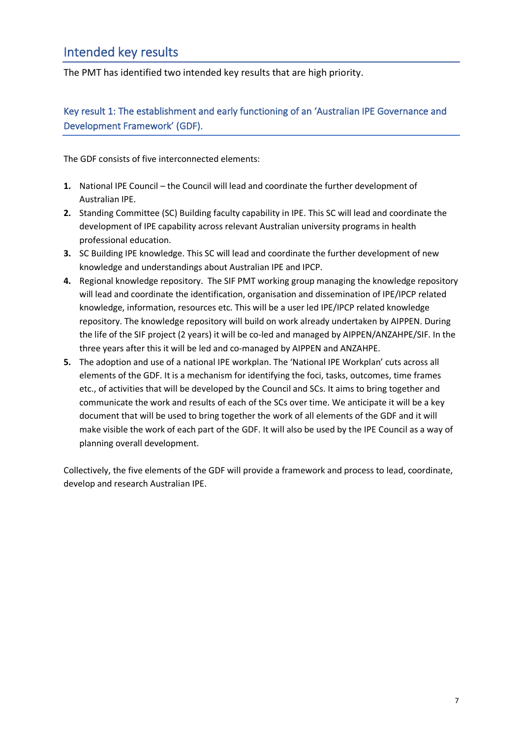# Intended key results

The PMT has identified two intended key results that are high priority.

## Key result 1: The establishment and early functioning of an 'Australian IPE Governance and Development Framework' (GDF).

The GDF consists of five interconnected elements:

- **1.** National IPE Council the Council will lead and coordinate the further development of Australian IPE.
- **2.** Standing Committee (SC) Building faculty capability in IPE. This SC will lead and coordinate the development of IPE capability across relevant Australian university programs in health professional education.
- **3.** SC Building IPE knowledge. This SC will lead and coordinate the further development of new knowledge and understandings about Australian IPE and IPCP.
- **4.** Regional knowledge repository. The SIF PMT working group managing the knowledge repository will lead and coordinate the identification, organisation and dissemination of IPE/IPCP related knowledge, information, resources etc. This will be a user led IPE/IPCP related knowledge repository. The knowledge repository will build on work already undertaken by AIPPEN. During the life of the SIF project (2 years) it will be co-led and managed by AIPPEN/ANZAHPE/SIF. In the three years after this it will be led and co-managed by AIPPEN and ANZAHPE.
- **5.** The adoption and use of a national IPE workplan. The 'National IPE Workplan' cuts across all elements of the GDF. It is a mechanism for identifying the foci, tasks, outcomes, time frames etc., of activities that will be developed by the Council and SCs. It aims to bring together and communicate the work and results of each of the SCs over time. We anticipate it will be a key document that will be used to bring together the work of all elements of the GDF and it will make visible the work of each part of the GDF. It will also be used by the IPE Council as a way of planning overall development.

Collectively, the five elements of the GDF will provide a framework and process to lead, coordinate, develop and research Australian IPE.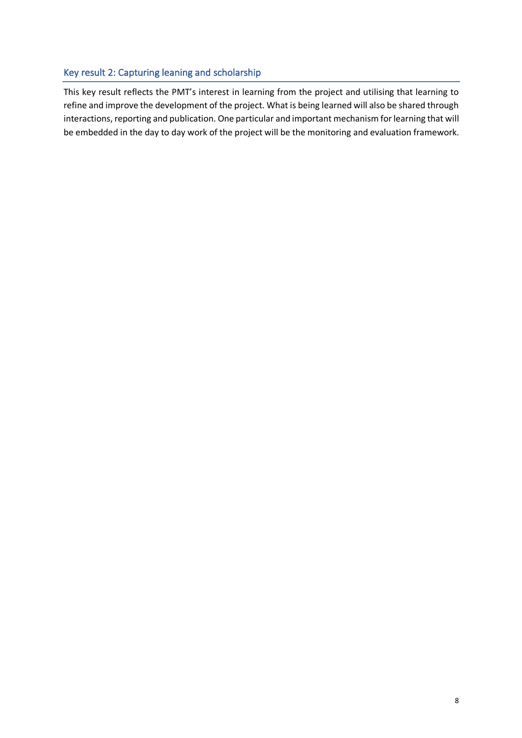## Key result 2: Capturing leaning and scholarship

This key result reflects the PMT's interest in learning from the project and utilising that learning to refine and improve the development of the project. What is being learned will also be shared through interactions, reporting and publication. One particular and important mechanism for learning that will be embedded in the day to day work of the project will be the monitoring and evaluation framework.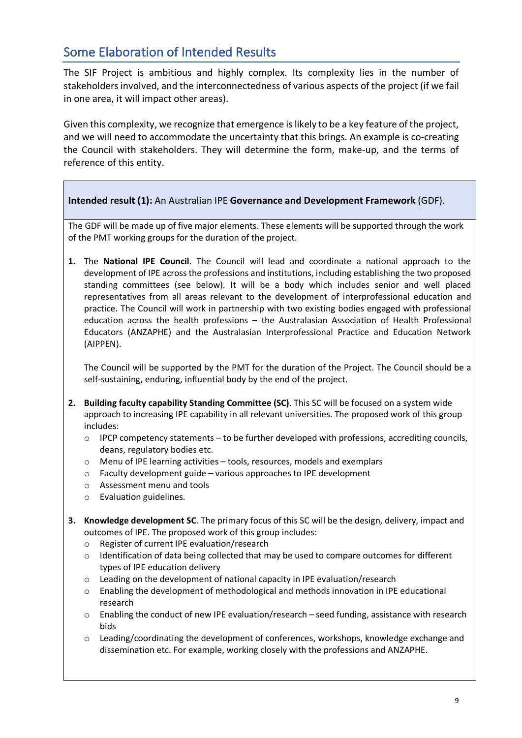# Some Elaboration of Intended Results

The SIF Project is ambitious and highly complex. Its complexity lies in the number of stakeholders involved, and the interconnectedness of various aspects of the project (if we fail in one area, it will impact other areas).

Given this complexity, we recognize that emergence is likely to be a key feature of the project, and we will need to accommodate the uncertainty that this brings. An example is co-creating the Council with stakeholders. They will determine the form, make-up, and the terms of reference of this entity.

## **Intended result (1):** An Australian IPE **Governance and Development Framework** (GDF).

The GDF will be made up of five major elements. These elements will be supported through the work of the PMT working groups for the duration of the project.

**1.** The **National IPE Council**. The Council will lead and coordinate a national approach to the development of IPE across the professions and institutions, including establishing the two proposed standing committees (see below). It will be a body which includes senior and well placed representatives from all areas relevant to the development of interprofessional education and practice. The Council will work in partnership with two existing bodies engaged with professional education across the health professions – the Australasian Association of Health Professional Educators (ANZAPHE) and the Australasian Interprofessional Practice and Education Network (AIPPEN).

The Council will be supported by the PMT for the duration of the Project. The Council should be a self-sustaining, enduring, influential body by the end of the project.

- **2. Building faculty capability Standing Committee (SC)**. This SC will be focused on a system wide approach to increasing IPE capability in all relevant universities. The proposed work of this group includes:
	- $\circ$  IPCP competency statements to be further developed with professions, accrediting councils, deans, regulatory bodies etc.
	- o Menu of IPE learning activities tools, resources, models and exemplars
	- o Faculty development guide various approaches to IPE development
	- o Assessment menu and tools
	- o Evaluation guidelines.
- **3. Knowledge development SC**. The primary focus of this SC will be the design, delivery, impact and outcomes of IPE. The proposed work of this group includes:
	- o Register of current IPE evaluation/research
	- $\circ$  Identification of data being collected that may be used to compare outcomes for different types of IPE education delivery
	- o Leading on the development of national capacity in IPE evaluation/research
	- $\circ$  Enabling the development of methodological and methods innovation in IPE educational research
	- o Enabling the conduct of new IPE evaluation/research seed funding, assistance with research bids
	- o Leading/coordinating the development of conferences, workshops, knowledge exchange and dissemination etc. For example, working closely with the professions and ANZAPHE.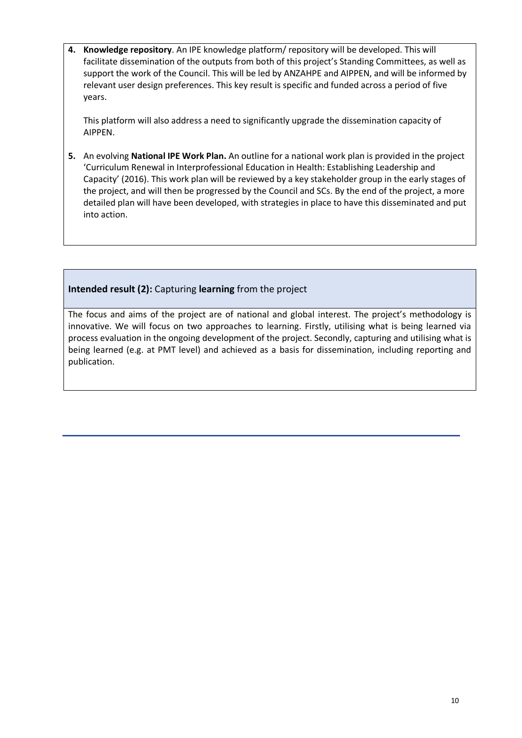**4. Knowledge repository**. An IPE knowledge platform/ repository will be developed. This will facilitate dissemination of the outputs from both of this project's Standing Committees, as well as support the work of the Council. This will be led by ANZAHPE and AIPPEN, and will be informed by relevant user design preferences. This key result is specific and funded across a period of five years.

This platform will also address a need to significantly upgrade the dissemination capacity of AIPPEN.

**5.** An evolving **National IPE Work Plan.** An outline for a national work plan is provided in the project 'Curriculum Renewal in Interprofessional Education in Health: Establishing Leadership and Capacity' (2016). This work plan will be reviewed by a key stakeholder group in the early stages of the project, and will then be progressed by the Council and SCs. By the end of the project, a more detailed plan will have been developed, with strategies in place to have this disseminated and put into action.

## **Intended result (2):** Capturing **learning** from the project

The focus and aims of the project are of national and global interest. The project's methodology is innovative. We will focus on two approaches to learning. Firstly, utilising what is being learned via process evaluation in the ongoing development of the project. Secondly, capturing and utilising what is being learned (e.g. at PMT level) and achieved as a basis for dissemination, including reporting and publication.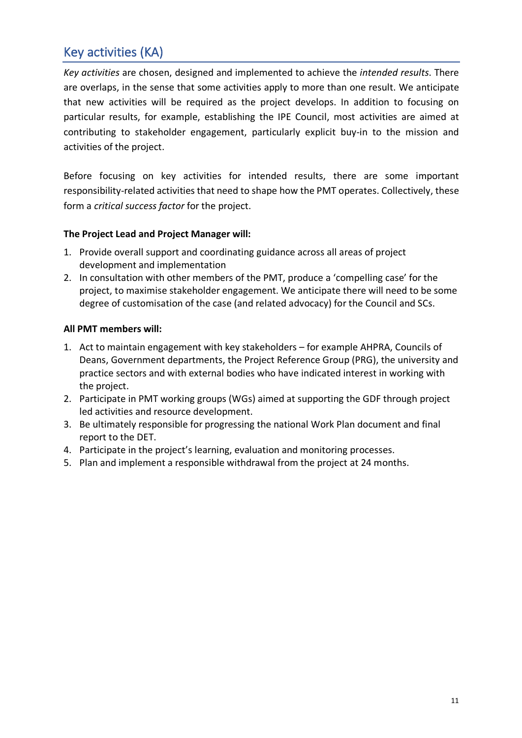# Key activities (KA)

*Key activities* are chosen, designed and implemented to achieve the *intended results*. There are overlaps, in the sense that some activities apply to more than one result. We anticipate that new activities will be required as the project develops. In addition to focusing on particular results, for example, establishing the IPE Council, most activities are aimed at contributing to stakeholder engagement, particularly explicit buy-in to the mission and activities of the project.

Before focusing on key activities for intended results, there are some important responsibility-related activities that need to shape how the PMT operates. Collectively, these form a *critical success factor* for the project.

## **The Project Lead and Project Manager will:**

- 1. Provide overall support and coordinating guidance across all areas of project development and implementation
- 2. In consultation with other members of the PMT, produce a 'compelling case' for the project, to maximise stakeholder engagement. We anticipate there will need to be some degree of customisation of the case (and related advocacy) for the Council and SCs.

## **All PMT members will:**

- 1. Act to maintain engagement with key stakeholders for example AHPRA, Councils of Deans, Government departments, the Project Reference Group (PRG), the university and practice sectors and with external bodies who have indicated interest in working with the project.
- 2. Participate in PMT working groups (WGs) aimed at supporting the GDF through project led activities and resource development.
- 3. Be ultimately responsible for progressing the national Work Plan document and final report to the DET.
- 4. Participate in the project's learning, evaluation and monitoring processes.
- 5. Plan and implement a responsible withdrawal from the project at 24 months.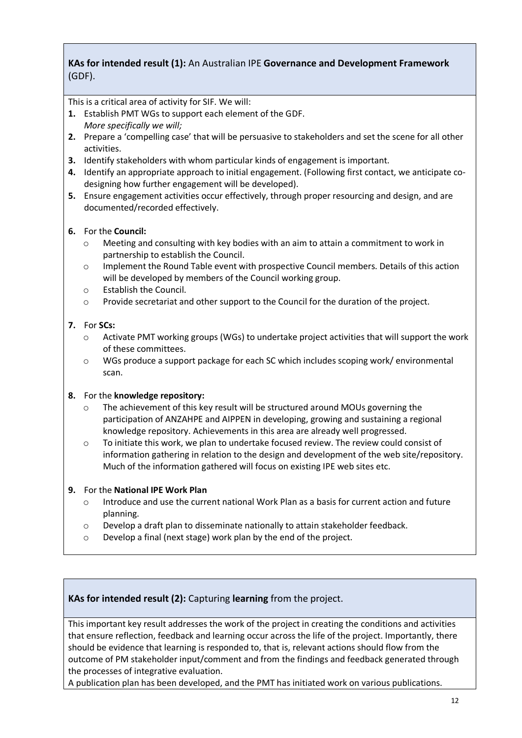## **KAs for intended result (1):** An Australian IPE **Governance and Development Framework** (GDF).

This is a critical area of activity for SIF. We will:

- **1.** Establish PMT WGs to support each element of the GDF. *More specifically we will;*
- **2.** Prepare a 'compelling case' that will be persuasive to stakeholders and set the scene for all other activities.
- **3.** Identify stakeholders with whom particular kinds of engagement is important.
- **4.** Identify an appropriate approach to initial engagement. (Following first contact, we anticipate codesigning how further engagement will be developed).
- **5.** Ensure engagement activities occur effectively, through proper resourcing and design, and are documented/recorded effectively.

## **6.** For the **Council:**

- o Meeting and consulting with key bodies with an aim to attain a commitment to work in partnership to establish the Council.
- o Implement the Round Table event with prospective Council members. Details of this action will be developed by members of the Council working group.
- o Establish the Council.
- o Provide secretariat and other support to the Council for the duration of the project.

## **7.** For **SCs:**

- o Activate PMT working groups (WGs) to undertake project activities that will support the work of these committees.
- o WGs produce a support package for each SC which includes scoping work/ environmental scan.

#### **8.** For the **knowledge repository:**

- The achievement of this key result will be structured around MOUs governing the participation of ANZAHPE and AIPPEN in developing, growing and sustaining a regional knowledge repository. Achievements in this area are already well progressed.
- o To initiate this work, we plan to undertake focused review. The review could consist of information gathering in relation to the design and development of the web site/repository. Much of the information gathered will focus on existing IPE web sites etc.

#### **9.** For the **National IPE Work Plan**

- Introduce and use the current national Work Plan as a basis for current action and future planning.
- $\circ$  Develop a draft plan to disseminate nationally to attain stakeholder feedback.
- o Develop a final (next stage) work plan by the end of the project.

## **KAs for intended result (2):** Capturing **learning** from the project.

This important key result addresses the work of the project in creating the conditions and activities that ensure reflection, feedback and learning occur across the life of the project. Importantly, there should be evidence that learning is responded to, that is, relevant actions should flow from the outcome of PM stakeholder input/comment and from the findings and feedback generated through the processes of integrative evaluation.

A publication plan has been developed, and the PMT has initiated work on various publications.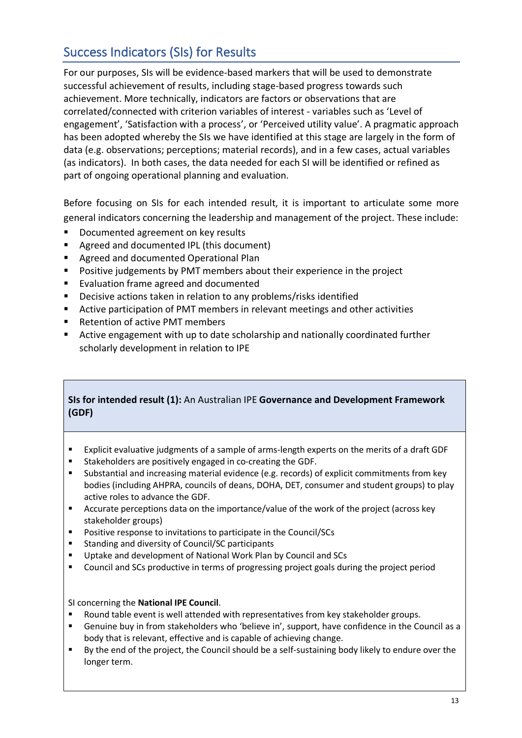# Success Indicators (SIs) for Results

For our purposes, SIs will be evidence-based markers that will be used to demonstrate successful achievement of results, including stage-based progress towards such achievement. More technically, indicators are factors or observations that are correlated/connected with criterion variables of interest - variables such as 'Level of engagement', 'Satisfaction with a process', or 'Perceived utility value'. A pragmatic approach has been adopted whereby the SIs we have identified at this stage are largely in the form of data (e.g. observations; perceptions; material records), and in a few cases, actual variables (as indicators). In both cases, the data needed for each SI will be identified or refined as part of ongoing operational planning and evaluation.

Before focusing on SIs for each intended result, it is important to articulate some more general indicators concerning the leadership and management of the project. These include:

- Documented agreement on key results
- Agreed and documented IPL (this document)
- Agreed and documented Operational Plan
- Positive judgements by PMT members about their experience in the project
- Evaluation frame agreed and documented
- Decisive actions taken in relation to any problems/risks identified
- Active participation of PMT members in relevant meetings and other activities
- Retention of active PMT members
- Active engagement with up to date scholarship and nationally coordinated further scholarly development in relation to IPE

## **SIs for intended result (1):** An Australian IPE **Governance and Development Framework (GDF)**

- § Explicit evaluative judgments of a sample of arms-length experts on the merits of a draft GDF
- § Stakeholders are positively engaged in co-creating the GDF.
- § Substantial and increasing material evidence (e.g. records) of explicit commitments from key bodies (including AHPRA, councils of deans, DOHA, DET, consumer and student groups) to play active roles to advance the GDF.
- Accurate perceptions data on the importance/value of the work of the project (across key stakeholder groups)
- § Positive response to invitations to participate in the Council/SCs
- Standing and diversity of Council/SC participants
- Uptake and development of National Work Plan by Council and SCs
- Council and SCs productive in terms of progressing project goals during the project period

## SI concerning the **National IPE Council**.

- § Round table event is well attended with representatives from key stakeholder groups.
- § Genuine buy in from stakeholders who 'believe in', support, have confidence in the Council as a body that is relevant, effective and is capable of achieving change.
- By the end of the project, the Council should be a self-sustaining body likely to endure over the longer term.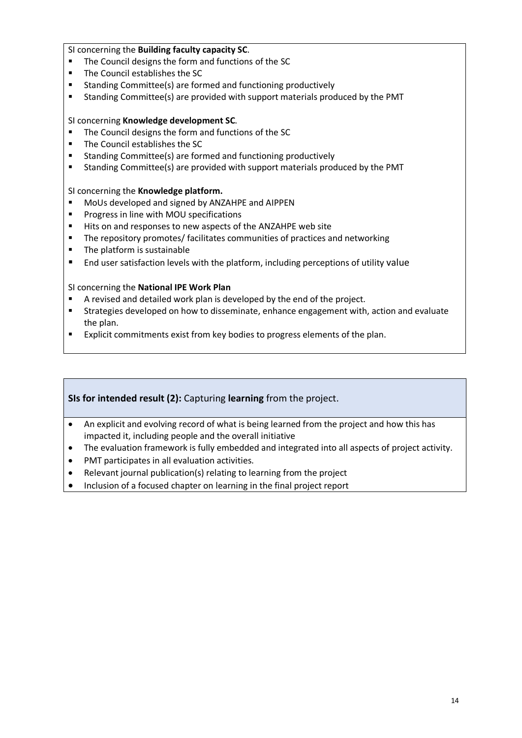#### SI concerning the **Building faculty capacity SC**.

- The Council designs the form and functions of the SC
- § The Council establishes the SC
- Standing Committee(s) are formed and functioning productively
- Standing Committee(s) are provided with support materials produced by the PMT

#### SI concerning **Knowledge development SC**.

- The Council designs the form and functions of the SC
- The Council establishes the SC
- Standing Committee(s) are formed and functioning productively
- Standing Committee(s) are provided with support materials produced by the PMT

#### SI concerning the **Knowledge platform.**

- § MoUs developed and signed by ANZAHPE and AIPPEN
- Progress in line with MOU specifications
- Hits on and responses to new aspects of the ANZAHPE web site
- The repository promotes/ facilitates communities of practices and networking
- The platform is sustainable
- End user satisfaction levels with the platform, including perceptions of utility value

#### SI concerning the **National IPE Work Plan**

- A revised and detailed work plan is developed by the end of the project.
- Strategies developed on how to disseminate, enhance engagement with, action and evaluate the plan.
- Explicit commitments exist from key bodies to progress elements of the plan.

## **SIs for intended result (2):** Capturing **learning** from the project.

- An explicit and evolving record of what is being learned from the project and how this has impacted it, including people and the overall initiative
- The evaluation framework is fully embedded and integrated into all aspects of project activity.
- PMT participates in all evaluation activities.
- Relevant journal publication(s) relating to learning from the project
- Inclusion of a focused chapter on learning in the final project report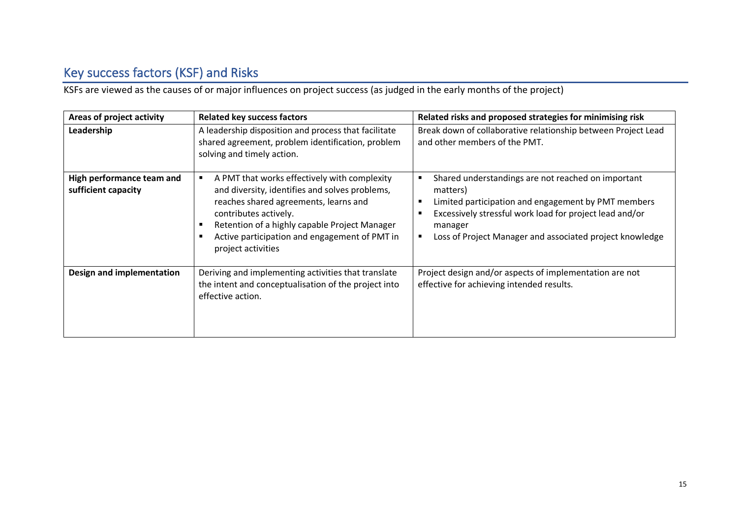# Key success factors (KSF) and Risks

KSFs are viewed as the causes of or major influences on project success (as judged in the early months of the project)

| Areas of project activity                        | <b>Related key success factors</b>                                                                                                                                                                                                                                                       | Related risks and proposed strategies for minimising risk                                                                                                                                                                                                                                |
|--------------------------------------------------|------------------------------------------------------------------------------------------------------------------------------------------------------------------------------------------------------------------------------------------------------------------------------------------|------------------------------------------------------------------------------------------------------------------------------------------------------------------------------------------------------------------------------------------------------------------------------------------|
| Leadership                                       | A leadership disposition and process that facilitate<br>shared agreement, problem identification, problem<br>solving and timely action.                                                                                                                                                  | Break down of collaborative relationship between Project Lead<br>and other members of the PMT.                                                                                                                                                                                           |
| High performance team and<br>sufficient capacity | A PMT that works effectively with complexity<br>and diversity, identifies and solves problems,<br>reaches shared agreements, learns and<br>contributes actively.<br>Retention of a highly capable Project Manager<br>Active participation and engagement of PMT in<br>project activities | Shared understandings are not reached on important<br>п<br>matters)<br>Limited participation and engagement by PMT members<br>$\blacksquare$<br>Excessively stressful work load for project lead and/or<br>п<br>manager<br>Loss of Project Manager and associated project knowledge<br>٠ |
| Design and implementation                        | Deriving and implementing activities that translate<br>the intent and conceptualisation of the project into<br>effective action.                                                                                                                                                         | Project design and/or aspects of implementation are not<br>effective for achieving intended results.                                                                                                                                                                                     |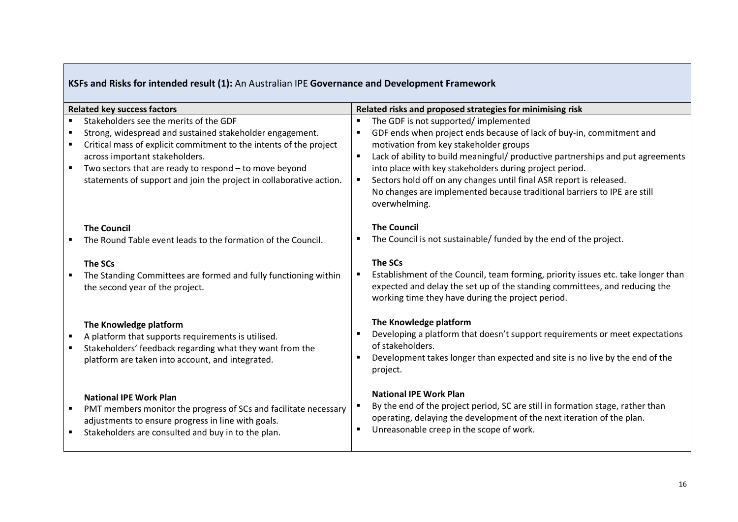# **KSFs and Risks for intended result (1):** An Australian IPE **Governance and Development Framework**

| <b>Related key success factors</b> |                                                                                                                                                                                                                                                                                                                                             | Related risks and proposed strategies for minimising risk |                                                                                                                                                                                                                                                                                                                                                                                                                                                                          |  |  |  |  |
|------------------------------------|---------------------------------------------------------------------------------------------------------------------------------------------------------------------------------------------------------------------------------------------------------------------------------------------------------------------------------------------|-----------------------------------------------------------|--------------------------------------------------------------------------------------------------------------------------------------------------------------------------------------------------------------------------------------------------------------------------------------------------------------------------------------------------------------------------------------------------------------------------------------------------------------------------|--|--|--|--|
| $\blacksquare$<br>$\blacksquare$   | Stakeholders see the merits of the GDF<br>Strong, widespread and sustained stakeholder engagement.<br>Critical mass of explicit commitment to the intents of the project<br>across important stakeholders.<br>Two sectors that are ready to respond - to move beyond<br>statements of support and join the project in collaborative action. | $\blacksquare$<br>$\blacksquare$<br>$\blacksquare$        | The GDF is not supported/implemented<br>GDF ends when project ends because of lack of buy-in, commitment and<br>motivation from key stakeholder groups<br>Lack of ability to build meaningful/ productive partnerships and put agreements<br>into place with key stakeholders during project period.<br>Sectors hold off on any changes until final ASR report is released.<br>No changes are implemented because traditional barriers to IPE are still<br>overwhelming. |  |  |  |  |
|                                    | <b>The Council</b><br>The Round Table event leads to the formation of the Council.                                                                                                                                                                                                                                                          |                                                           | <b>The Council</b><br>The Council is not sustainable/ funded by the end of the project.                                                                                                                                                                                                                                                                                                                                                                                  |  |  |  |  |
|                                    | The SCs<br>The Standing Committees are formed and fully functioning within<br>the second year of the project.                                                                                                                                                                                                                               | $\blacksquare$                                            | The SCs<br>Establishment of the Council, team forming, priority issues etc. take longer than<br>expected and delay the set up of the standing committees, and reducing the<br>working time they have during the project period.                                                                                                                                                                                                                                          |  |  |  |  |
|                                    | The Knowledge platform<br>A platform that supports requirements is utilised.<br>Stakeholders' feedback regarding what they want from the<br>platform are taken into account, and integrated.                                                                                                                                                |                                                           | The Knowledge platform<br>Developing a platform that doesn't support requirements or meet expectations<br>of stakeholders.<br>Development takes longer than expected and site is no live by the end of the<br>project.                                                                                                                                                                                                                                                   |  |  |  |  |
|                                    | <b>National IPE Work Plan</b><br>PMT members monitor the progress of SCs and facilitate necessary<br>adjustments to ensure progress in line with goals.<br>Stakeholders are consulted and buy in to the plan.                                                                                                                               |                                                           | <b>National IPE Work Plan</b><br>By the end of the project period, SC are still in formation stage, rather than<br>operating, delaying the development of the next iteration of the plan.<br>Unreasonable creep in the scope of work.                                                                                                                                                                                                                                    |  |  |  |  |